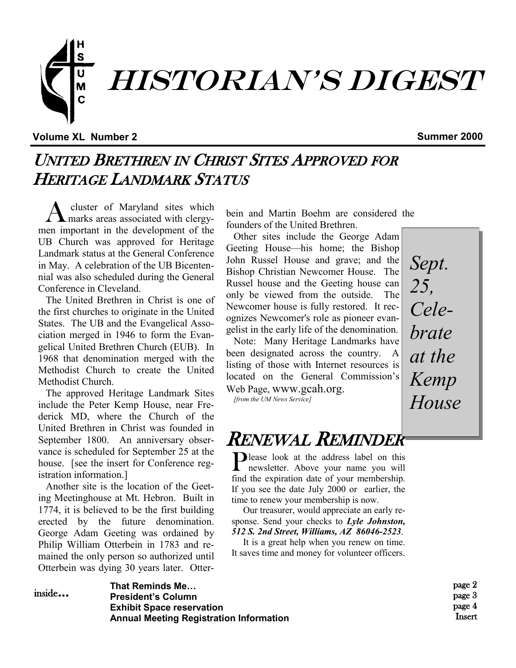

**Volume XL Number 2 Summer 2000**

## UNITED BRETHREN IN CHRIST SITES APPROVED FOR HERITAGE LANDMARK STATUS

A cluster of Maryland sites which marks areas associated with clergymen important in the development of the UB Church was approved for Heritage Landmark status at the General Conference in May. A celebration of the UB Bicentennial was also scheduled during the General Conference in Cleveland.

The United Brethren in Christ is one of the first churches to originate in the United States. The UB and the Evangelical Association merged in 1946 to form the Evangelical United Brethren Church (EUB). In 1968 that denomination merged with the Methodist Church to create the United Methodist Church.

The approved Heritage Landmark Sites include the Peter Kemp House, near Frederick MD, where the Church of the United Brethren in Christ was founded in September 1800. An anniversary observance is scheduled for September 25 at the house. [see the insert for Conference registration information 1

Another site is the location of the Geeting Meetinghouse at Mt. Hebron. Built in 1774, it is believed to be the first building erected by the future denomination. George Adam Geeting was ordained by Philip William Otterbein in 1783 and remained the only person so authorized until Otterbein was dying 30 years later. Otterbein and Martin Boehm are considered the founders of the United Brethren.

Other sites include the George Adam Geeting House—his home; the Bishop John Russel House and grave; and the Bishop Christian Newcomer House. The Russel house and the Geeting house can only be viewed from the outside. The Newcomer house is fully restored. It recognizes Newcomer's role as pioneer evangelist in the early life of the denomination.

Note: Many Heritage Landmarks have been designated across the country. A listing of those with Internet resources is located on the General Commission's Web Page, www.gcah.org.

*[from the UM News Service]* 

*Sept. 25, Celebrate at the Kemp House*

## RENEWAL REMINDER

Please look at the address label on this<br>newsletter. Above your name you will newsletter. Above your name you will find the expiration date of your membership. If you see the date July 2000 or earlier, the time to renew your membership is now.

 Our treasurer, would appreciate an early response. Send your checks to *Lyle Johnston, 512 S. 2nd Street, Williams, AZ 86046-2523*.

 It is a great help when you renew on time. It saves time and money for volunteer officers.

> page 2 page 3 page 4 Insert

#### **That Reminds Me… President's Column Exhibit Space reservation Annual Meeting Registration Information** inside...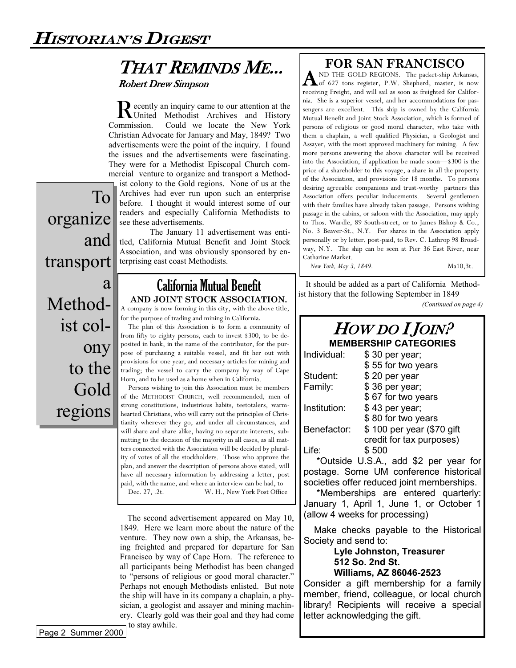### THAT REMINDS ME... Robert Drew Simpson

Recently an inquiry came to our attention at the<br>
United Methodist Archives and History United Methodist Archives and History Commission. Could we locate the New York Christian Advocate for January and May, 1849? Two advertisements were the point of the inquiry. I found the issues and the advertisements were fascinating. They were for a Methodist Episcopal Church commercial venture to organize and transport a Method-

ist colony to the Gold regions. None of us at the Archives had ever run upon such an enterprise before. I thought it would interest some of our readers and especially California Methodists to see these advertisements.

The January 11 advertisement was entitled, California Mutual Benefit and Joint Stock Association, and was obviously sponsored by enterprising east coast Methodists.

# transport a Methodist colony to the Gold regions

To

and

organize

### California Mutual Benefit **AND JOINT STOCK ASSOCIATION.**

A company is now forming in this city, with the above title, for the purpose of trading and mining in California.

The plan of this Association is to form a community of from fifty to eighty persons, each to invest \$300, to be deposited in bank, in the name of the contributor, for the purpose of purchasing a suitable vessel, and fit her out with provisions for one year, and necessary articles for mining and trading; the vessel to carry the company by way of Cape Horn, and to be used as a home when in California.

Persons wishing to join this Association must be members of the METHODIST CHURCH, well recommended, men of strong constitutions, industrious habits, teetotalers, warmhearted Christians, who will carry out the principles of Christianity wherever they go, and under all circumstances, and will share and share alike, having no separate interests, submitting to the decision of the majority in all cases, as all matters connected with the Association will be decided by plurality of votes of all the stockholders. Those who approve the plan, and answer the description of persons above stated, will have all necessary information by addressing a letter, post paid, with the name, and where an interview can be had, to Dec. 27, .2t. W. H., New York Post Office

The second advertisement appeared on May 10, 1849. Here we learn more about the nature of the venture. They now own a ship, the Arkansas, being freighted and prepared for departure for San Francisco by way of Cape Horn. The reference to all participants being Methodist has been changed to "persons of religious or good moral character." Perhaps not enough Methodists enlisted. But note the ship will have in its company a chaplain, a physician, a geologist and assayer and mining machinery. Clearly gold was their goal and they had come to stay awhile.

#### **FOR SAN FRANCISCO**

A ND THE GOLD REGIONS. The packet-ship Arkansas,<br>A of 627 tons register, P.W. Shepherd, master, is now ND THE GOLD REGIONS. The packet-ship Arkansas, receiving Freight, and will sail as soon as freighted for California. She is a superior vessel, and her accommodations for passengers are excellent. This ship is owned by the California Mutual Benefit and Joint Stock Association, which is formed of persons of religious or good moral character, who take with them a chaplain, a well qualified Physician, a Geologist and Assayer, with the most approved machinery for mining. A few more persons answering the above character will be received into the Association, if application be made soon—\$300 is the price of a shareholder to this voyage, a share in all the property of the Association, and provisions for 18 months. To persons desiring agreeable companions and trust-worthy partners this Association offers peculiar inducements. Several gentlemen with their families have already taken passage. Persons wishing passage in the cabins, or saloon with the Association, may apply to Thos. Wardle, 89 South-street, or to James Bishop & Co., No. 3 Beaver-St., N.Y. For shares in the Association apply personally or by letter, post-paid, to Rev. C. Lathrop 98 Broadway, N.Y. The ship can be seen at Pier 36 East River, near Catharine Market.

*New York, May 3, 1849.* Ma10,3t.

It should be added as a part of California Methodist history that the following September in 1849

*(Continued on page 4)*

#### HOW DO IJOIN? **MEMBERSHIP CATEGORIES**

| Individual:  | \$30 per year;            |
|--------------|---------------------------|
|              | \$55 for two years        |
| Student:     | \$20 per year             |
| Family:      | \$36 per year;            |
|              | \$67 for two years        |
| Institution: | \$43 per year;            |
|              | \$80 for two years        |
| Benefactor:  | \$100 per year (\$70 gift |
|              | credit for tax purposes)  |
| Life:        | \$500                     |
|              |                           |

 \*Outside U.S.A., add \$2 per year for postage. Some UM conference historical societies offer reduced joint memberships.

 \*Memberships are entered quarterly: January 1, April 1, June 1, or October 1 (allow 4 weeks for processing)

 Make checks payable to the Historical Society and send to:

#### **Lyle Johnston, Treasurer 512 So. 2nd St. Williams, AZ 86046-2523**

Consider a gift membership for a family member, friend, colleague, or local church library! Recipients will receive a special letter acknowledging the gift.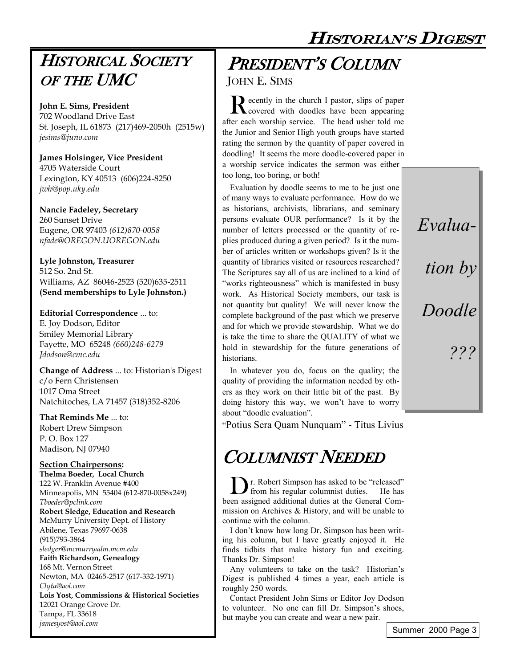HISTORIAN'S DIGEST

## HISTORICAL SOCIETY OF THE UMC

**John E. Sims, President** 702 Woodland Drive East St. Joseph, IL 61873 (217)469-2050h (2515w) *jesims@juno.com*

**James Holsinger, Vice President** 4705 Waterside Court Lexington, KY 40513 (606)224-8250 *jwh@pop.uky.edu*

**Nancie Fadeley, Secretary** 260 Sunset Drive Eugene, OR 97403 *(612)870-0058 nfade@OREGON.UOREGON.edu* 

**Lyle Johnston, Treasurer** 512 So. 2nd St. Williams, AZ 86046-2523 (520)635-2511 **(Send memberships to Lyle Johnston.)**

**Editorial Correspondence** ... to: E. Joy Dodson, Editor Smiley Memorial Library Fayette, MO 65248 *(660)248-6279 Jdodson@cmc.edu* 

**Change of Address** ... to: Historian's Digest c/o Fern Christensen 1017 Oma Street Natchitoches, LA 71457 (318)352-8206

**That Reminds Me** ... to: Robert Drew Simpson P. O. Box 127 Madison, NJ 07940

#### **Section Chairpersons:**

**Thelma Boeder, Local Church** 122 W. Franklin Avenue #400 Minneapolis, MN 55404 (612-870-0058x249) *Tboeder@pclink.com* **Robert Sledge, Education and Research** McMurry University Dept. of History Abilene, Texas 79697-0638 (915)793-3864 *sledger@mcmurryadm.mcm.edu* **Faith Richardson, Genealogy** 168 Mt. Vernon Street Newton, MA 02465-2517 (617-332-1971) *Clyta@aol.com* **Lois Yost, Commissions & Historical Societies** 12021 Orange Grove Dr. Tampa, FL 33618 *jamesyost@aol.com*

## PRESIDENT'S COLUMN

JOHN E. SIMS

Recently in the church I pastor, slips of paper<br>covered with doodles have been appearing ecently in the church I pastor, slips of paper after each worship service. The head usher told me the Junior and Senior High youth groups have started rating the sermon by the quantity of paper covered in doodling! It seems the more doodle-covered paper in a worship service indicates the sermon was either too long, too boring, or both!

Evaluation by doodle seems to me to be just one of many ways to evaluate performance. How do we as historians, archivists, librarians, and seminary persons evaluate OUR performance? Is it by the number of letters processed or the quantity of replies produced during a given period? Is it the number of articles written or workshops given? Is it the quantity of libraries visited or resources researched? The Scriptures say all of us are inclined to a kind of "works righteousness" which is manifested in busy work. As Historical Society members, our task is not quantity but quality! We will never know the complete background of the past which we preserve and for which we provide stewardship. What we do is take the time to share the QUALITY of what we hold in stewardship for the future generations of historians.

In whatever you do, focus on the quality; the quality of providing the information needed by others as they work on their little bit of the past. By doing history this way, we won't have to worry about "doodle evaluation".

"Potius Sera Quam Nunquam" - Titus Livius

# COLUMNIST NEEDED

Dr. Robert Simpson has asked to be "released" from his regular columnist duties. He has been assigned additional duties at the General Commission on Archives & History, and will be unable to continue with the column.

I don't know how long Dr. Simpson has been writing his column, but I have greatly enjoyed it. He finds tidbits that make history fun and exciting. Thanks Dr. Simpson!

Any volunteers to take on the task? Historian's Digest is published 4 times a year, each article is roughly 250 words.

Contact President John Sims or Editor Joy Dodson to volunteer. No one can fill Dr. Simpson's shoes, but maybe you can create and wear a new pair.